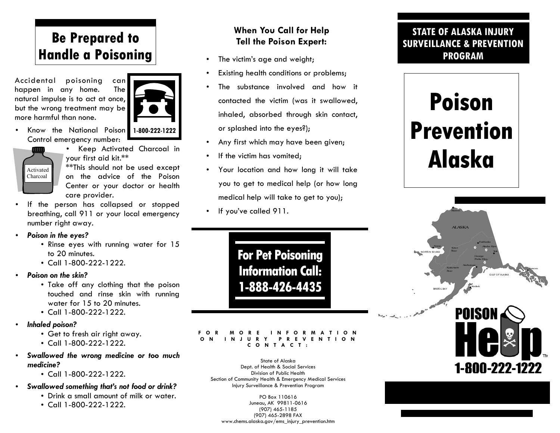# **Be Prepared to Handle a Poisoning**

Accidental poisoning can happen in any home. The natural impulse is to act at once, but the wrong treatment may be more harmful than none.



• Know the National Poison Control emergency number:



• Keep Activated Charcoal in your first aid kit.\*\* \*\*This should not be used except

on the advice of the Poison Center or your doctor or health care provider.

- • If the person has collapsed or stopped breathing, call 911 or your local emergency number right away.
- *Poison in the eyes?* 
	- Rinse eyes with running water for 15 to 20 minutes.
	- Call 1-800-222-1222.
- • *Poison on the skin?* 
	- Take off any clothing that the poison touched and rinse skin with running water for 15 to 20 minutes.
	- Call 1-800-222-1222.
- • *Inhaled poison?* 
	- Get to fresh air right away.
	- Call 1-800-222-1222.
- • *Swallowed the wrong medicine or too much medicine?* 
	- Call 1-800-222-1222.
- • *Swallowed something that's not food or drink?* 
	- Drink a small amount of milk or water.
	- Call 1-800-222-1222.

### **When You Call for Help Tell the Poison Expert:**

- •The victim's age and weight;
- •Existing health conditions or problems;
- • The substance involved and how it contacted the victim (was it swallowed, inhaled, absorbed through skin contact, or splashed into the eyes?);
- •Any first which may have been given;
- •If the victim has vomited;
- • Your location and how long it will take you to get to medical help (or how long medical help will take to get to you);
- •If you've called 911.

**For Pet Poisoning Information Call: 1-888-426-4435** 

#### **FOR MORE INFORMATION ON INJURY PREVENTION CONTACT:**

State of Alaska Dept. of Health & Social Services Division of Public Health Section of Community Health & Emergency Medical Services Injury Surveillance & Prevention Program

PO Box 110616 Juneau, AK 99811-0616 (907) 465-1185 (907) 465-2898 FAX www.chems.alaska.gov/ems\_injury\_prevention.htm

### **STATE OF ALASKA INJURY SURVEILLANCE & PREVENTION PROGRAM**

# **Poison Prevention Alaska**